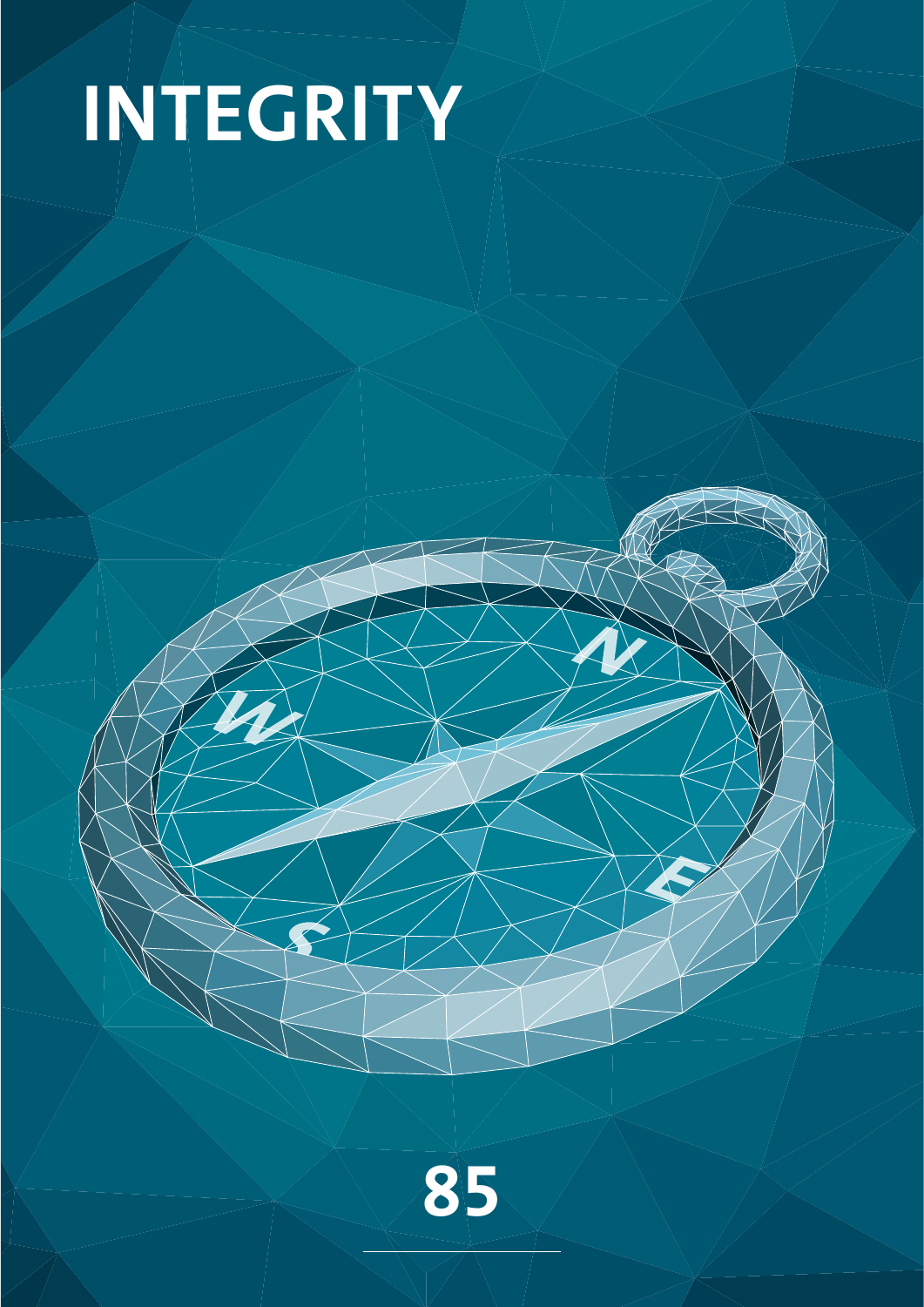# **INTEGRITY**

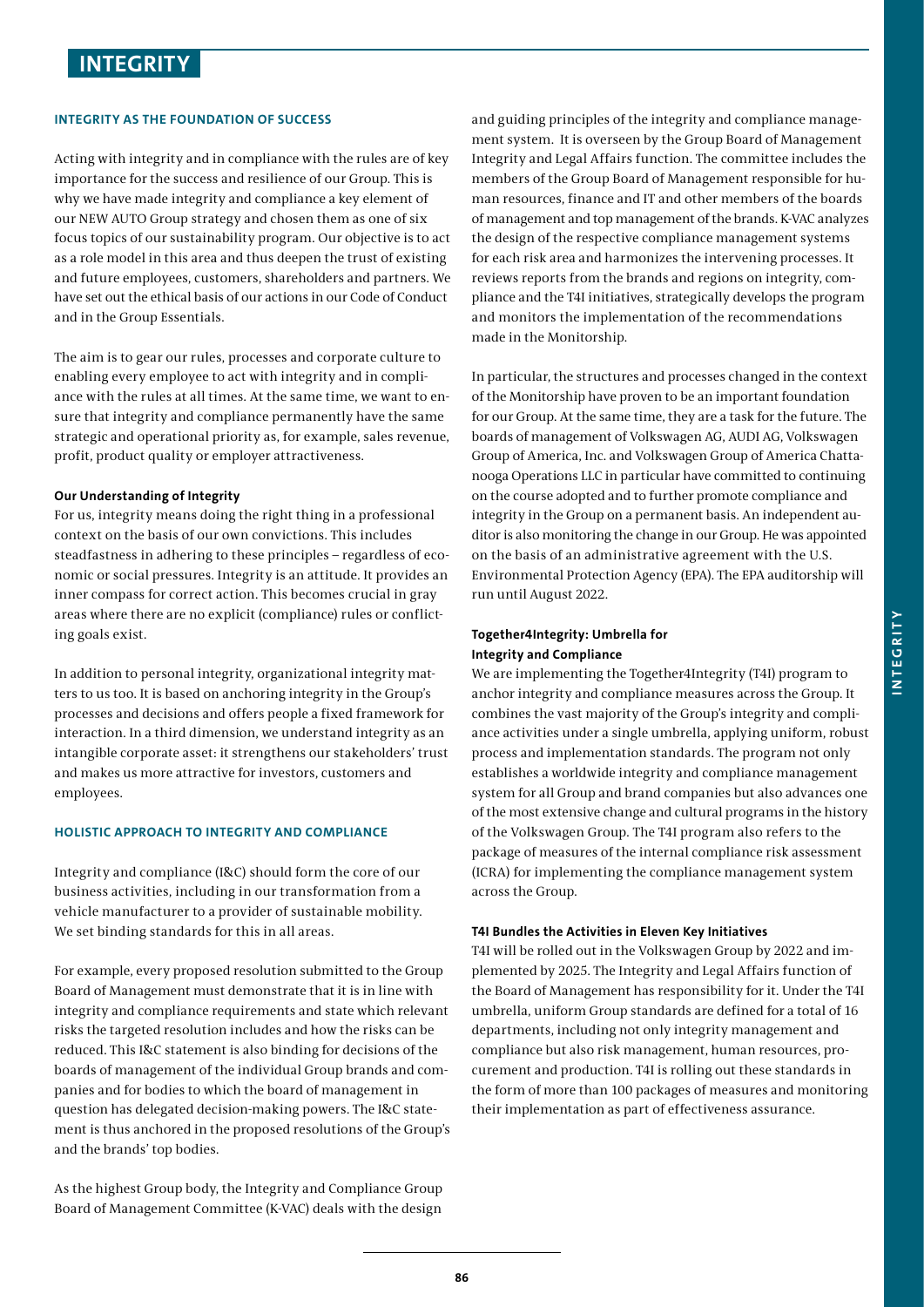# **INTEGRITY**

# **INTEGRITY AS THE FOUNDATION OF SUCCESS**

Acting with integrity and in compliance with the rules are of key importance for the success and resilience of our Group. This is why we have made integrity and compliance a key element of our NEW AUTO Group strategy and chosen them as one of six focus topics of our sustainability program. Our objective is to act as a role model in this area and thus deepen the trust of existing and future employees, customers, shareholders and partners. We have set out the ethical basis of our actions in our Code of Conduct and in the Group Essentials.

The aim is to gear our rules, processes and corporate culture to enabling every employee to act with integrity and in compliance with the rules at all times. At the same time, we want to ensure that integrity and compliance permanently have the same strategic and operational priority as, for example, sales revenue, profit, product quality or employer attractiveness.

### **Our Understanding of Integrity**

For us, integrity means doing the right thing in a professional context on the basis of our own convictions. This includes steadfastness in adhering to these principles – regardless of economic or social pressures. Integrity is an attitude. It provides an inner compass for correct action. This becomes crucial in gray areas where there are no explicit (compliance) rules or conflicting goals exist.

In addition to personal integrity, organizational integrity matters to us too. It is based on anchoring integrity in the Group's processes and decisions and offers people a fixed framework for interaction. In a third dimension, we understand integrity as an intangible corporate asset: it strengthens our stakeholders' trust and makes us more attractive for investors, customers and employees.

### **HOLISTIC APPROACH TO INTEGRITY AND COMPLIANCE**

Integrity and compliance (I&C) should form the core of our business activities, including in our transformation from a vehicle manufacturer to a provider of sustainable mobility. We set binding standards for this in all areas.

For example, every proposed resolution submitted to the Group Board of Management must demonstrate that it is in line with integrity and compliance requirements and state which relevant risks the targeted resolution includes and how the risks can be reduced. This I&C statement is also binding for decisions of the boards of management of the individual Group brands and companies and for bodies to which the board of management in question has delegated decision-making powers. The I&C statement is thus anchored in the proposed resolutions of the Group's and the brands' top bodies.

As the highest Group body, the Integrity and Compliance Group Board of Management Committee (K-VAC) deals with the design

and guiding principles of the integrity and compliance management system. It is overseen by the Group Board of Management Integrity and Legal Affairs function. The committee includes the members of the Group Board of Management responsible for human resources, finance and IT and other members of the boards of management and top management of the brands. K-VAC analyzes the design of the respective compliance management systems for each risk area and harmonizes the intervening processes. It reviews reports from the brands and regions on integrity, compliance and the T4I initiatives, strategically develops the program and monitors the implementation of the recommendations made in the Monitorship.

In particular, the structures and processes changed in the context of the Monitorship have proven to be an important foundation for our Group. At the same time, they are a task for the future. The boards of management of Volkswagen AG, AUDI AG, Volkswagen Group of America, Inc. and Volkswagen Group of America Chattanooga Operations LLC in particular have committed to continuing on the course adopted and to further promote compliance and integrity in the Group on a permanent basis. An independent auditor is also monitoring the change in our Group. He was appointed on the basis of an administrative agreement with the U.S. Environmental Protection Agency (EPA). The EPA auditorship will run until August 2022.

# **Together4Integrity: Umbrella for Integrity and Compliance**

We are implementing the Together4Integrity (T4I) program to anchor integrity and compliance measures across the Group. It combines the vast majority of the Group's integrity and compliance activities under a single umbrella, applying uniform, robust process and implementation standards. The program not only establishes a worldwide integrity and compliance management system for all Group and brand companies but also advances one of the most extensive change and cultural programs in the history of the Volkswagen Group. The T4I program also refers to the package of measures of the internal compliance risk assessment (ICRA) for implementing the compliance management system across the Group.

### **T4I Bundles the Activities in Eleven Key Initiatives**

T4I will be rolled out in the Volkswagen Group by 2022 and implemented by 2025. The Integrity and Legal Affairs function of the Board of Management has responsibility for it. Under the T4I umbrella, uniform Group standards are defined for a total of 16 departments, including not only integrity management and compliance but also risk management, human resources, procurement and production. T4I is rolling out these standards in the form of more than 100 packages of measures and monitoring their implementation as part of effectiveness assurance.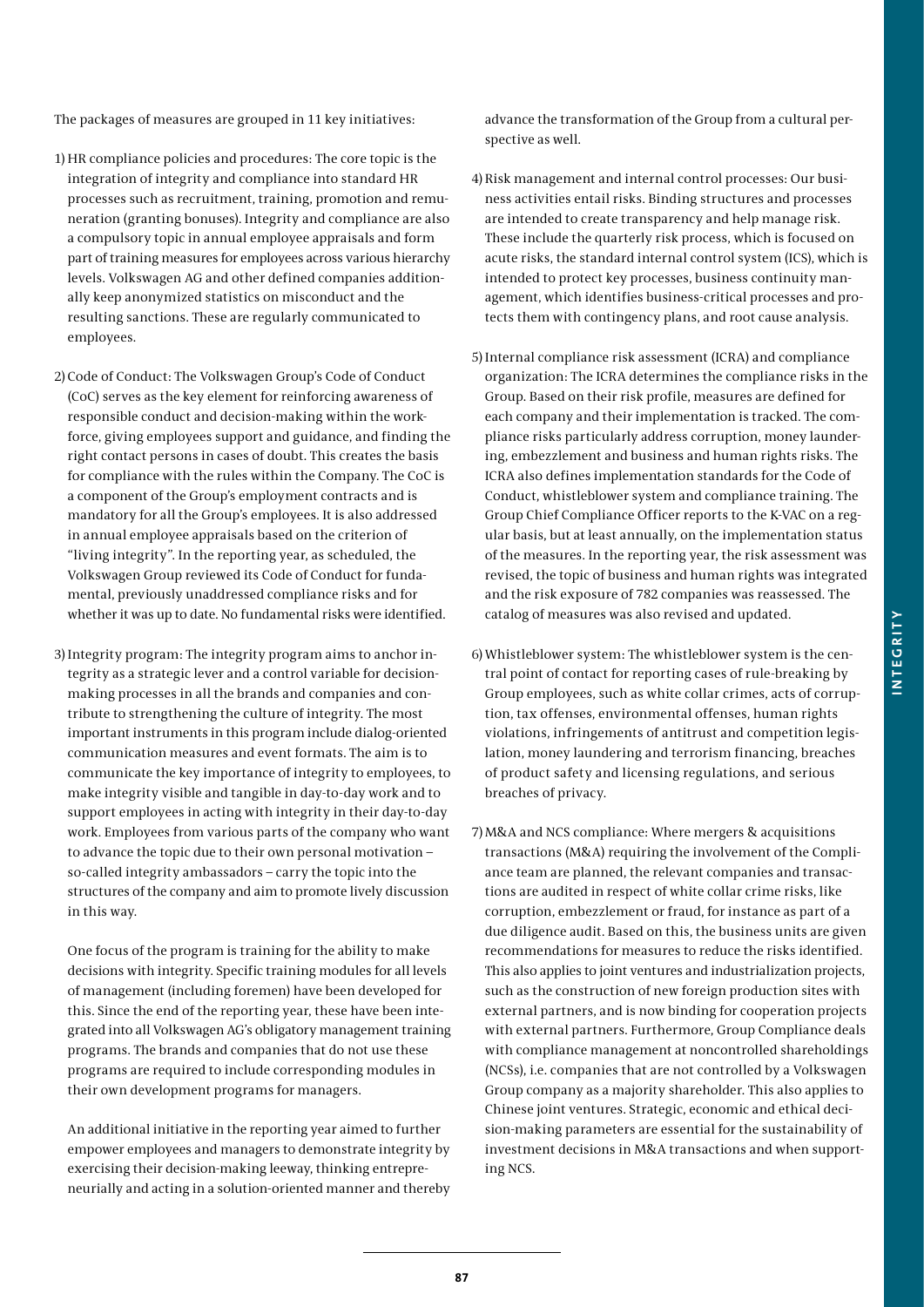The packages of measures are grouped in 11 key initiatives:

- 1) HR compliance policies and procedures: The core topic is the integration of integrity and compliance into standard HR processes such as recruitment, training, promotion and remuneration (granting bonuses). Integrity and compliance are also a compulsory topic in annual employee appraisals and form part of training measures for employees across various hierarchy levels. Volkswagen AG and other defined companies additionally keep anonymized statistics on misconduct and the resulting sanctions. These are regularly communicated to employees.
- 2) Code of Conduct: The Volkswagen Group's Code of Conduct (CoC) serves as the key element for reinforcing awareness of responsible conduct and decision-making within the workforce, giving employees support and guidance, and finding the right contact persons in cases of doubt. This creates the basis for compliance with the rules within the Company. The CoC is a component of the Group's employment contracts and is mandatory for all the Group's employees. It is also addressed in annual employee appraisals based on the criterion of "living integrity". In the reporting year, as scheduled, the Volkswagen Group reviewed its Code of Conduct for fundamental, previously unaddressed compliance risks and for whether it was up to date. No fundamental risks were identified.
- 3) Integrity program: The integrity program aims to anchor integrity as a strategic lever and a control variable for decisionmaking processes in all the brands and companies and contribute to strengthening the culture of integrity. The most important instruments in this program include dialog-oriented communication measures and event formats. The aim is to communicate the key importance of integrity to employees, to make integrity visible and tangible in day-to-day work and to support employees in acting with integrity in their day-to-day work. Employees from various parts of the company who want to advance the topic due to their own personal motivation – so-called integrity ambassadors – carry the topic into the structures of the company and aim to promote lively discussion in this way.

One focus of the program is training for the ability to make decisions with integrity. Specific training modules for all levels of management (including foremen) have been developed for this. Since the end of the reporting year, these have been integrated into all Volkswagen AG's obligatory management training programs. The brands and companies that do not use these programs are required to include corresponding modules in their own development programs for managers.

An additional initiative in the reporting year aimed to further empower employees and managers to demonstrate integrity by exercising their decision-making leeway, thinking entrepreneurially and acting in a solution-oriented manner and thereby advance the transformation of the Group from a cultural perspective as well.

- 4) Risk management and internal control processes: Our business activities entail risks. Binding structures and processes are intended to create transparency and help manage risk. These include the quarterly risk process, which is focused on acute risks, the standard internal control system (ICS), which is intended to protect key processes, business continuity management, which identifies business-critical processes and protects them with contingency plans, and root cause analysis.
- 5) Internal compliance risk assessment (ICRA) and compliance organization: The ICRA determines the compliance risks in the Group. Based on their risk profile, measures are defined for each company and their implementation is tracked. The compliance risks particularly address corruption, money laundering, embezzlement and business and human rights risks. The ICRA also defines implementation standards for the Code of Conduct, whistleblower system and compliance training. The Group Chief Compliance Officer reports to the K-VAC on a regular basis, but at least annually, on the implementation status of the measures. In the reporting year, the risk assessment was revised, the topic of business and human rights was integrated and the risk exposure of 782 companies was reassessed. The catalog of measures was also revised and updated.
- 6) Whistleblower system: The whistleblower system is the central point of contact for reporting cases of rule-breaking by Group employees, such as white collar crimes, acts of corruption, tax offenses, environmental offenses, human rights violations, infringements of antitrust and competition legislation, money laundering and terrorism financing, breaches of product safety and licensing regulations, and serious breaches of privacy.
- 7) M&A and NCS compliance: Where mergers & acquisitions transactions (M&A) requiring the involvement of the Compliance team are planned, the relevant companies and transactions are audited in respect of white collar crime risks, like corruption, embezzlement or fraud, for instance as part of a due diligence audit. Based on this, the business units are given recommendations for measures to reduce the risks identified. This also applies to joint ventures and industrialization projects, such as the construction of new foreign production sites with external partners, and is now binding for cooperation projects with external partners. Furthermore, Group Compliance deals with compliance management at noncontrolled shareholdings (NCSs), i.e. companies that are not controlled by a Volkswagen Group company as a majority shareholder. This also applies to Chinese joint ventures. Strategic, economic and ethical decision-making parameters are essential for the sustainability of investment decisions in M&A transactions and when supporting NCS.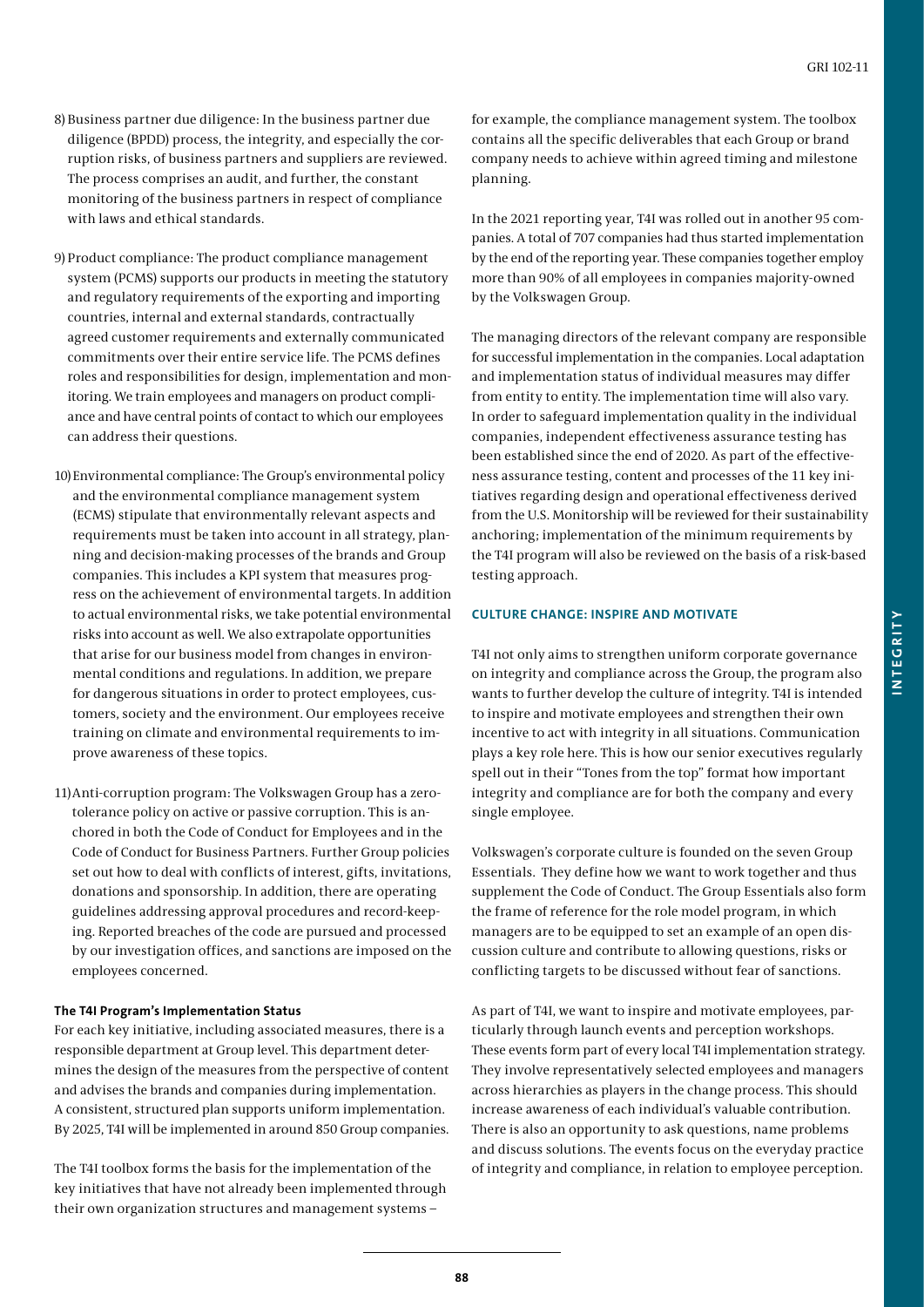- 8) Business partner due diligence: In the business partner due diligence (BPDD) process, the integrity, and especially the corruption risks, of business partners and suppliers are reviewed. The process comprises an audit, and further, the constant monitoring of the business partners in respect of compliance with laws and ethical standards.
- 9) Product compliance: The product compliance management system (PCMS) supports our products in meeting the statutory and regulatory requirements of the exporting and importing countries, internal and external standards, contractually agreed customer requirements and externally communicated commitments over their entire service life. The PCMS defines roles and responsibilities for design, implementation and monitoring. We train employees and managers on product compliance and have central points of contact to which our employees can address their questions.
- 10) Environmental compliance: The Group's environmental policy and the environmental compliance management system (ECMS) stipulate that environmentally relevant aspects and requirements must be taken into account in all strategy, planning and decision-making processes of the brands and Group companies. This includes a KPI system that measures progress on the achievement of environmental targets. In addition to actual environmental risks, we take potential environmental risks into account as well. We also extrapolate opportunities that arise for our business model from changes in environmental conditions and regulations. In addition, we prepare for dangerous situations in order to protect employees, customers, society and the environment. Our employees receive training on climate and environmental requirements to improve awareness of these topics.
- 11) Anti-corruption program: The Volkswagen Group has a zerotolerance policy on active or passive corruption. This is anchored in both the Code of Conduct for Employees and in the Code of Conduct for Business Partners. Further Group policies set out how to deal with conflicts of interest, gifts, invitations, donations and sponsorship. In addition, there are operating guidelines addressing approval procedures and record-keeping. Reported breaches of the code are pursued and processed by our investigation offices, and sanctions are imposed on the employees concerned.

# **The T4I Program's Implementation Status**

For each key initiative, including associated measures, there is a responsible department at Group level. This department determines the design of the measures from the perspective of content and advises the brands and companies during implementation. A consistent, structured plan supports uniform implementation. By 2025, T4I will be implemented in around 850 Group companies.

The T4I toolbox forms the basis for the implementation of the key initiatives that have not already been implemented through their own organization structures and management systems –

for example, the compliance management system. The toolbox contains all the specific deliverables that each Group or brand company needs to achieve within agreed timing and milestone planning.

In the 2021 reporting year, T4I was rolled out in another 95 companies. A total of 707 companies had thus started implementation by the end of the reporting year. These companies together employ more than 90% of all employees in companies majority-owned by the Volkswagen Group.

The managing directors of the relevant company are responsible for successful implementation in the companies. Local adaptation and implementation status of individual measures may differ from entity to entity. The implementation time will also vary. In order to safeguard implementation quality in the individual companies, independent effectiveness assurance testing has been established since the end of 2020. As part of the effectiveness assurance testing, content and processes of the 11 key initiatives regarding design and operational effectiveness derived from the U.S. Monitorship will be reviewed for their sustainability anchoring; implementation of the minimum requirements by the T4I program will also be reviewed on the basis of a risk-based testing approach.

# **CULTURE CHANGE: INSPIRE AND MOTIVATE**

T4I not only aims to strengthen uniform corporate governance on integrity and compliance across the Group, the program also wants to further develop the culture of integrity. T4I is intended to inspire and motivate employees and strengthen their own incentive to act with integrity in all situations. Communication plays a key role here. This is how our senior executives regularly spell out in their "Tones from the top" format how important integrity and compliance are for both the company and every single employee.

Volkswagen's corporate culture is founded on the seven Group Essentials. They define how we want to work together and thus supplement the Code of Conduct. The Group Essentials also form the frame of reference for the role model program, in which managers are to be equipped to set an example of an open discussion culture and contribute to allowing questions, risks or conflicting targets to be discussed without fear of sanctions.

As part of T4I, we want to inspire and motivate employees, particularly through launch events and perception workshops. These events form part of every local T4I implementation strategy. They involve representatively selected employees and managers across hierarchies as players in the change process. This should increase awareness of each individual's valuable contribution. There is also an opportunity to ask questions, name problems and discuss solutions. The events focus on the everyday practice of integrity and compliance, in relation to employee perception.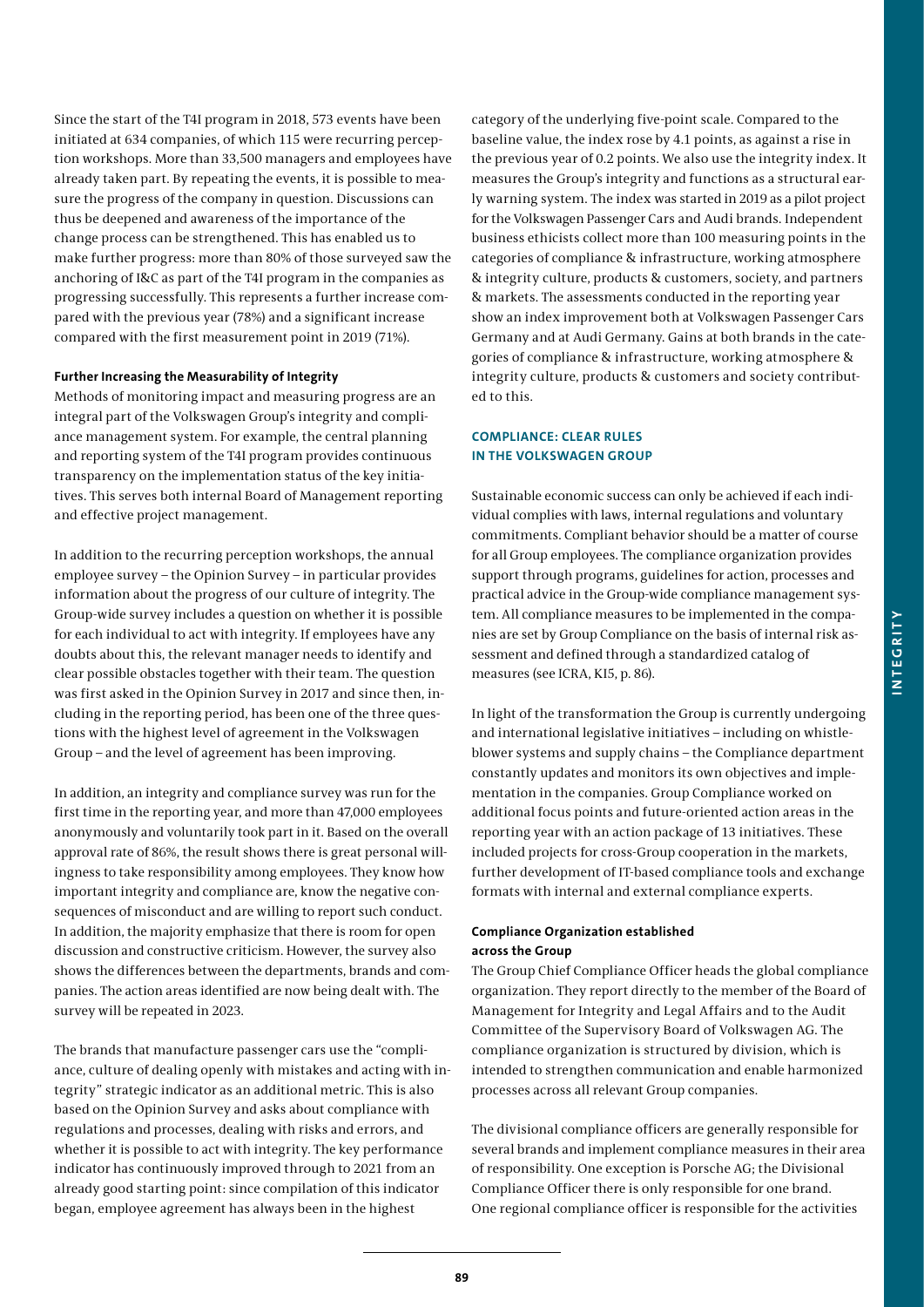Since the start of the T4I program in 2018, 573 events have been initiated at 634 companies, of which 115 were recurring perception workshops. More than 33,500 managers and employees have already taken part. By repeating the events, it is possible to measure the progress of the company in question. Discussions can thus be deepened and awareness of the importance of the change process can be strengthened. This has enabled us to make further progress: more than 80% of those surveyed saw the anchoring of I&C as part of the T4I program in the companies as progressing successfully. This represents a further increase compared with the previous year (78%) and a significant increase compared with the first measurement point in 2019 (71%).

# **Further Increasing the Measurability of Integrity**

Methods of monitoring impact and measuring progress are an integral part of the Volkswagen Group's integrity and compliance management system. For example, the central planning and reporting system of the T4I program provides continuous transparency on the implementation status of the key initiatives. This serves both internal Board of Management reporting and effective project management.

In addition to the recurring perception workshops, the annual employee survey – the Opinion Survey – in particular provides information about the progress of our culture of integrity. The Group-wide survey includes a question on whether it is possible for each individual to act with integrity. If employees have any doubts about this, the relevant manager needs to identify and clear possible obstacles together with their team. The question was first asked in the Opinion Survey in 2017 and since then, including in the reporting period, has been one of the three questions with the highest level of agreement in the Volkswagen Group – and the level of agreement has been improving.

In addition, an integrity and compliance survey was run for the first time in the reporting year, and more than 47,000 employees anonymously and voluntarily took part in it. Based on the overall approval rate of 86%, the result shows there is great personal willingness to take responsibility among employees. They know how important integrity and compliance are, know the negative consequences of misconduct and are willing to report such conduct. In addition, the majority emphasize that there is room for open discussion and constructive criticism. However, the survey also shows the differences between the departments, brands and companies. The action areas identified are now being dealt with. The survey will be repeated in 2023.

The brands that manufacture passenger cars use the "compliance, culture of dealing openly with mistakes and acting with integrity" strategic indicator as an additional metric. This is also based on the Opinion Survey and asks about compliance with regulations and processes, dealing with risks and errors, and whether it is possible to act with integrity. The key performance indicator has continuously improved through to 2021 from an already good starting point: since compilation of this indicator began, employee agreement has always been in the highest

category of the underlying five-point scale. Compared to the baseline value, the index rose by 4.1 points, as against a rise in the previous year of 0.2 points. We also use the integrity index. It measures the Group's integrity and functions as a structural early warning system. The index was started in 2019 as a pilot project for the Volkswagen Passenger Cars and Audi brands. Independent business ethicists collect more than 100 measuring points in the categories of compliance & infrastructure, working atmosphere & integrity culture, products & customers, society, and partners & markets. The assessments conducted in the reporting year show an index improvement both at Volkswagen Passenger Cars Germany and at Audi Germany. Gains at both brands in the categories of compliance & infrastructure, working atmosphere & integrity culture, products & customers and society contributed to this.

# **COMPLIANCE: CLEAR RULES IN THE VOLKSWAGEN GROUP**

Sustainable economic success can only be achieved if each individual complies with laws, internal regulations and voluntary commitments. Compliant behavior should be a matter of course for all Group employees. The compliance organization provides support through programs, guidelines for action, processes and practical advice in the Group-wide compliance management system. All compliance measures to be implemented in the companies are set by Group Compliance on the basis of internal risk assessment and defined through a standardized catalog of measures (see ICRA, KI5, p. 86).

In light of the transformation the Group is currently undergoing and international legislative initiatives – including on whistleblower systems and supply chains – the Compliance department constantly updates and monitors its own objectives and implementation in the companies. Group Compliance worked on additional focus points and future-oriented action areas in the reporting year with an action package of 13 initiatives. These included projects for cross-Group cooperation in the markets, further development of IT-based compliance tools and exchange formats with internal and external compliance experts.

# **Compliance Organization established across the Group**

The Group Chief Compliance Officer heads the global compliance organization. They report directly to the member of the Board of Management for Integrity and Legal Affairs and to the Audit Committee of the Supervisory Board of Volkswagen AG. The compliance organization is structured by division, which is intended to strengthen communication and enable harmonized processes across all relevant Group companies.

The divisional compliance officers are generally responsible for several brands and implement compliance measures in their area of responsibility. One exception is Porsche AG; the Divisional Compliance Officer there is only responsible for one brand. One regional compliance officer is responsible for the activities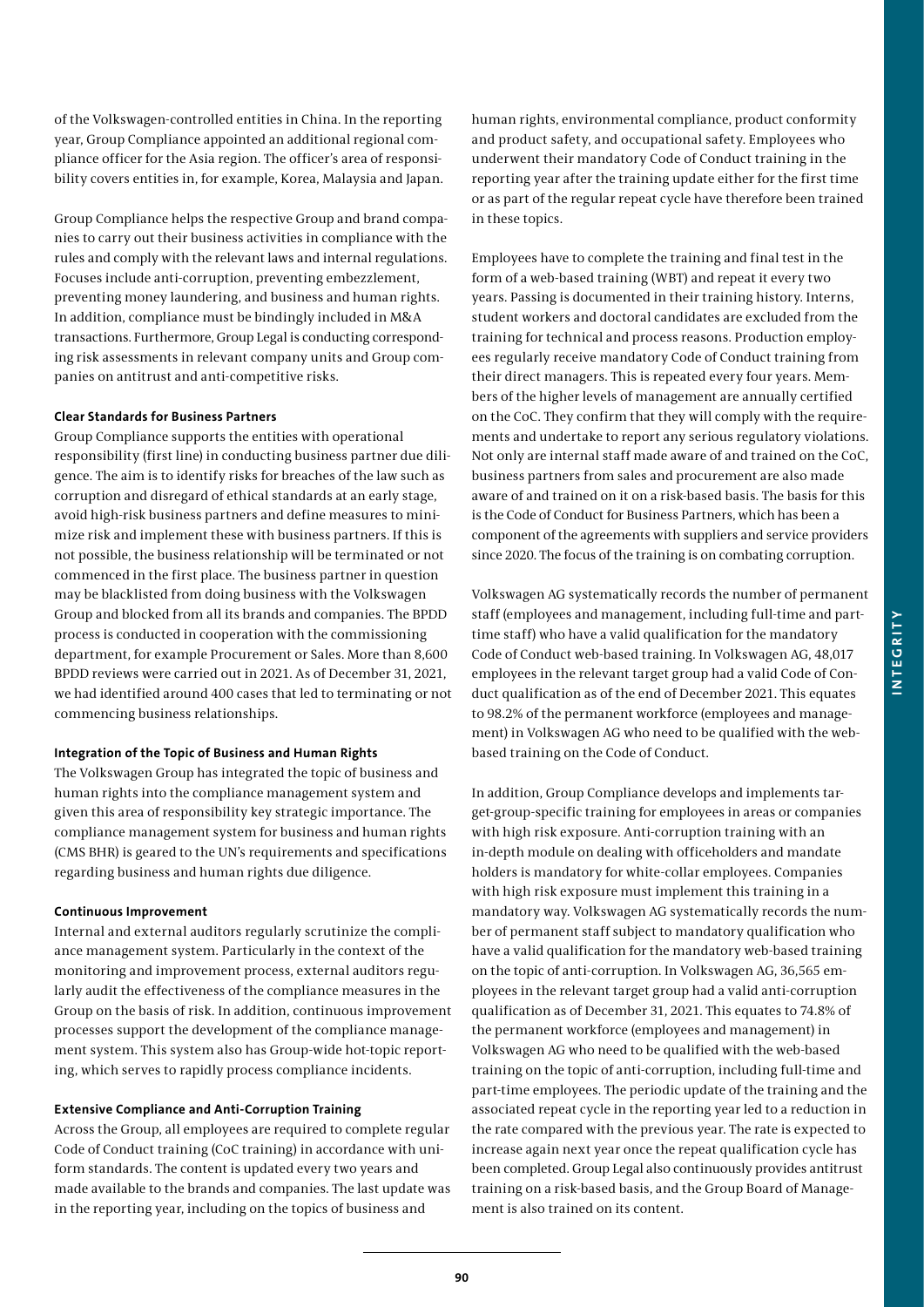Group Compliance helps the respective Group and brand companies to carry out their business activities in compliance with the rules and comply with the relevant laws and internal regulations. Focuses include anti-corruption, preventing embezzlement, preventing money laundering, and business and human rights. In addition, compliance must be bindingly included in M&A transactions. Furthermore, Group Legal is conducting corresponding risk assessments in relevant company units and Group companies on antitrust and anti-competitive risks.

# **Clear Standards for Business Partners**

Group Compliance supports the entities with operational responsibility (first line) in conducting business partner due diligence. The aim is to identify risks for breaches of the law such as corruption and disregard of ethical standards at an early stage, avoid high-risk business partners and define measures to minimize risk and implement these with business partners. If this is not possible, the business relationship will be terminated or not commenced in the first place. The business partner in question may be blacklisted from doing business with the Volkswagen Group and blocked from all its brands and companies. The BPDD process is conducted in cooperation with the commissioning department, for example Procurement or Sales. More than 8,600 BPDD reviews were carried out in 2021. As of December 31, 2021, we had identified around 400 cases that led to terminating or not commencing business relationships.

# **Integration of the Topic of Business and Human Rights**

The Volkswagen Group has integrated the topic of business and human rights into the compliance management system and given this area of responsibility key strategic importance. The compliance management system for business and human rights (CMS BHR) is geared to the UN's requirements and specifications regarding business and human rights due diligence.

# **Continuous Improvement**

Internal and external auditors regularly scrutinize the compliance management system. Particularly in the context of the monitoring and improvement process, external auditors regularly audit the effectiveness of the compliance measures in the Group on the basis of risk. In addition, continuous improvement processes support the development of the compliance management system. This system also has Group-wide hot-topic reporting, which serves to rapidly process compliance incidents.

# **Extensive Compliance and Anti-Corruption Training**

Across the Group, all employees are required to complete regular Code of Conduct training (CoC training) in accordance with uniform standards. The content is updated every two years and made available to the brands and companies. The last update was in the reporting year, including on the topics of business and

human rights, environmental compliance, product conformity and product safety, and occupational safety. Employees who underwent their mandatory Code of Conduct training in the reporting year after the training update either for the first time or as part of the regular repeat cycle have therefore been trained in these topics.

Employees have to complete the training and final test in the form of a web-based training (WBT) and repeat it every two years. Passing is documented in their training history. Interns, student workers and doctoral candidates are excluded from the training for technical and process reasons. Production employees regularly receive mandatory Code of Conduct training from their direct managers. This is repeated every four years. Members of the higher levels of management are annually certified on the CoC. They confirm that they will comply with the requirements and undertake to report any serious regulatory violations. Not only are internal staff made aware of and trained on the CoC, business partners from sales and procurement are also made aware of and trained on it on a risk-based basis. The basis for this is the Code of Conduct for Business Partners, which has been a component of the agreements with suppliers and service providers since 2020. The focus of the training is on combating corruption.

Volkswagen AG systematically records the number of permanent staff (employees and management, including full-time and parttime staff) who have a valid qualification for the mandatory Code of Conduct web-based training. In Volkswagen AG, 48,017 employees in the relevant target group had a valid Code of Conduct qualification as of the end of December 2021. This equates to 98.2% of the permanent workforce (employees and management) in Volkswagen AG who need to be qualified with the webbased training on the Code of Conduct.

In addition, Group Compliance develops and implements target-group-specific training for employees in areas or companies with high risk exposure. Anti-corruption training with an in-depth module on dealing with officeholders and mandate holders is mandatory for white-collar employees. Companies with high risk exposure must implement this training in a mandatory way. Volkswagen AG systematically records the number of permanent staff subject to mandatory qualification who have a valid qualification for the mandatory web-based training on the topic of anti-corruption. In Volkswagen AG, 36,565 employees in the relevant target group had a valid anti-corruption qualification as of December 31, 2021. This equates to 74.8% of the permanent workforce (employees and management) in Volkswagen AG who need to be qualified with the web-based training on the topic of anti-corruption, including full-time and part-time employees. The periodic update of the training and the associated repeat cycle in the reporting year led to a reduction in the rate compared with the previous year. The rate is expected to increase again next year once the repeat qualification cycle has been completed. Group Legal also continuously provides antitrust training on a risk-based basis, and the Group Board of Management is also trained on its content.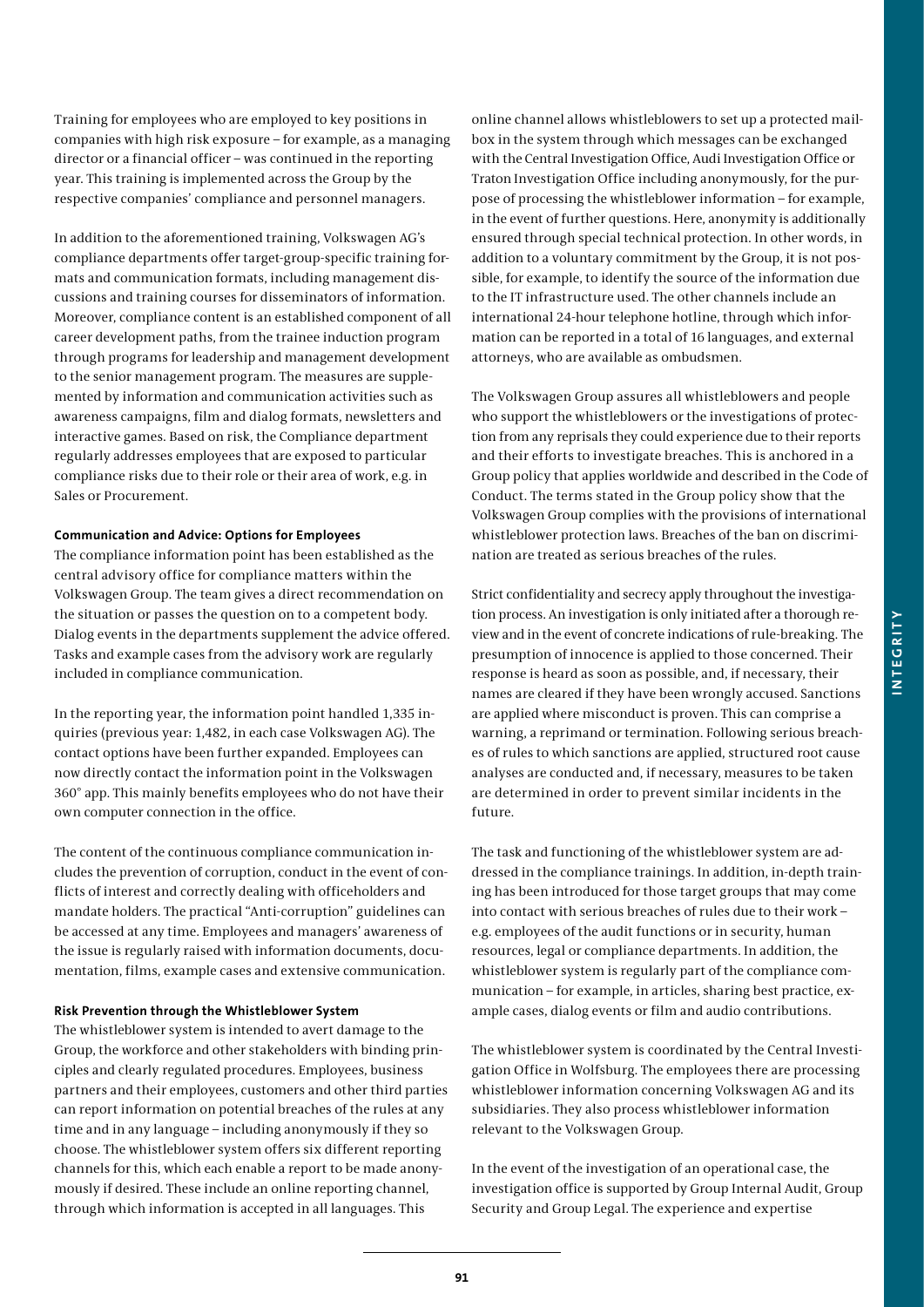Training for employees who are employed to key positions in companies with high risk exposure – for example, as a managing director or a financial officer – was continued in the reporting year. This training is implemented across the Group by the respective companies' compliance and personnel managers.

In addition to the aforementioned training, Volkswagen AG's compliance departments offer target-group-specific training formats and communication formats, including management discussions and training courses for disseminators of information. Moreover, compliance content is an established component of all career development paths, from the trainee induction program through programs for leadership and management development to the senior management program. The measures are supplemented by information and communication activities such as awareness campaigns, film and dialog formats, newsletters and interactive games. Based on risk, the Compliance department regularly addresses employees that are exposed to particular compliance risks due to their role or their area of work, e.g. in Sales or Procurement.

### **Communication and Advice: Options for Employees**

The compliance information point has been established as the central advisory office for compliance matters within the Volkswagen Group. The team gives a direct recommendation on the situation or passes the question on to a competent body. Dialog events in the departments supplement the advice offered. Tasks and example cases from the advisory work are regularly included in compliance communication.

In the reporting year, the information point handled 1,335 inquiries (previous year: 1,482, in each case Volkswagen AG). The contact options have been further expanded. Employees can now directly contact the information point in the Volkswagen 360° app. This mainly benefits employees who do not have their own computer connection in the office.

The content of the continuous compliance communication includes the prevention of corruption, conduct in the event of conflicts of interest and correctly dealing with officeholders and mandate holders. The practical "Anti-corruption" guidelines can be accessed at any time. Employees and managers' awareness of the issue is regularly raised with information documents, documentation, films, example cases and extensive communication.

# **Risk Prevention through the Whistleblower System**

The whistleblower system is intended to avert damage to the Group, the workforce and other stakeholders with binding principles and clearly regulated procedures. Employees, business partners and their employees, customers and other third parties can report information on potential breaches of the rules at any time and in any language – including anonymously if they so choose. The whistleblower system offers six different reporting channels for this, which each enable a report to be made anonymously if desired. These include an online reporting channel, through which information is accepted in all languages. This

online channel allows whistleblowers to set up a protected mailbox in the system through which messages can be exchanged with the Central Investigation Office, Audi Investigation Office or Traton Investigation Office including anonymously, for the purpose of processing the whistleblower information – for example, in the event of further questions. Here, anonymity is additionally ensured through special technical protection. In other words, in addition to a voluntary commitment by the Group, it is not possible, for example, to identify the source of the information due to the IT infrastructure used. The other channels include an international 24-hour telephone hotline, through which information can be reported in a total of 16 languages, and external attorneys, who are available as ombudsmen.

The Volkswagen Group assures all whistleblowers and people who support the whistleblowers or the investigations of protection from any reprisals they could experience due to their reports and their efforts to investigate breaches. This is anchored in a Group policy that applies worldwide and described in the Code of Conduct. The terms stated in the Group policy show that the Volkswagen Group complies with the provisions of international whistleblower protection laws. Breaches of the ban on discrimination are treated as serious breaches of the rules.

Strict confidentiality and secrecy apply throughout the investigation process. An investigation is only initiated after a thorough review and in the event of concrete indications of rule-breaking. The presumption of innocence is applied to those concerned. Their response is heard as soon as possible, and, if necessary, their names are cleared if they have been wrongly accused. Sanctions are applied where misconduct is proven. This can comprise a warning, a reprimand or termination. Following serious breaches of rules to which sanctions are applied, structured root cause analyses are conducted and, if necessary, measures to be taken are determined in order to prevent similar incidents in the future.

The task and functioning of the whistleblower system are addressed in the compliance trainings. In addition, in-depth training has been introduced for those target groups that may come into contact with serious breaches of rules due to their work – e.g. employees of the audit functions or in security, human resources, legal or compliance departments. In addition, the whistleblower system is regularly part of the compliance communication – for example, in articles, sharing best practice, example cases, dialog events or film and audio contributions.

The whistleblower system is coordinated by the Central Investigation Office in Wolfsburg. The employees there are processing whistleblower information concerning Volkswagen AG and its subsidiaries. They also process whistleblower information relevant to the Volkswagen Group.

In the event of the investigation of an operational case, the investigation office is supported by Group Internal Audit, Group Security and Group Legal. The experience and expertise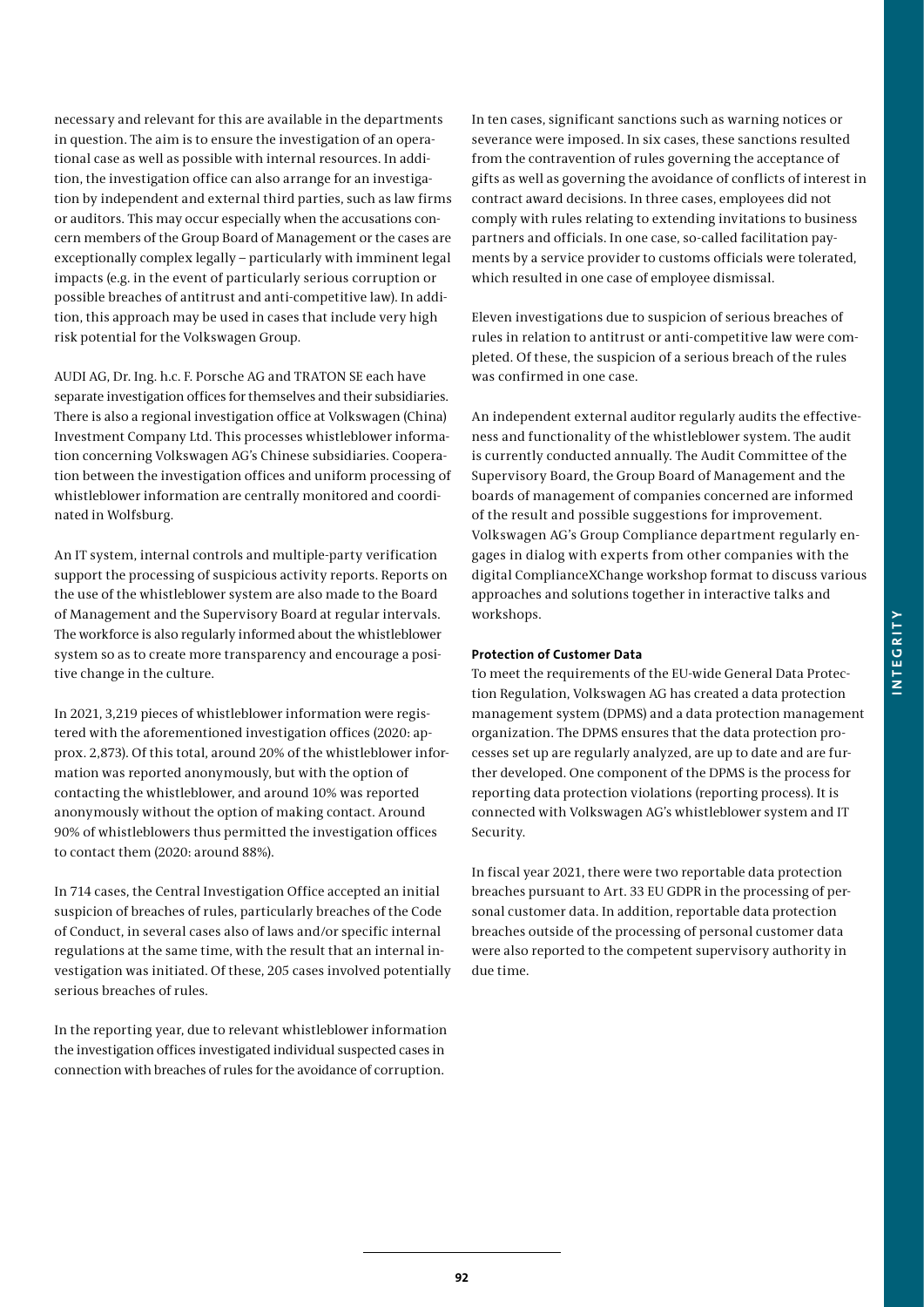necessary and relevant for this are available in the departments in question. The aim is to ensure the investigation of an operational case as well as possible with internal resources. In addition, the investigation office can also arrange for an investigation by independent and external third parties, such as law firms or auditors. This may occur especially when the accusations concern members of the Group Board of Management or the cases are exceptionally complex legally – particularly with imminent legal impacts (e.g. in the event of particularly serious corruption or possible breaches of antitrust and anti-competitive law). In addition, this approach may be used in cases that include very high risk potential for the Volkswagen Group.

AUDI AG, Dr. Ing. h.c. F. Porsche AG and TRATON SE each have separate investigation offices for themselves and their subsidiaries. There is also a regional investigation office at Volkswagen (China) Investment Company Ltd. This processes whistleblower information concerning Volkswagen AG's Chinese subsidiaries. Cooperation between the investigation offices and uniform processing of whistleblower information are centrally monitored and coordinated in Wolfsburg.

An IT system, internal controls and multiple-party verification support the processing of suspicious activity reports. Reports on the use of the whistleblower system are also made to the Board of Management and the Supervisory Board at regular intervals. The workforce is also regularly informed about the whistleblower system so as to create more transparency and encourage a positive change in the culture.

In 2021, 3,219 pieces of whistleblower information were registered with the aforementioned investigation offices (2020: approx. 2,873). Of this total, around 20% of the whistleblower information was reported anonymously, but with the option of contacting the whistleblower, and around 10% was reported anonymously without the option of making contact. Around 90% of whistleblowers thus permitted the investigation offices to contact them (2020: around 88%).

In 714 cases, the Central Investigation Office accepted an initial suspicion of breaches of rules, particularly breaches of the Code of Conduct, in several cases also of laws and/or specific internal regulations at the same time, with the result that an internal investigation was initiated. Of these, 205 cases involved potentially serious breaches of rules.

In the reporting year, due to relevant whistleblower information the investigation offices investigated individual suspected cases in connection with breaches of rules for the avoidance of corruption.

In ten cases, significant sanctions such as warning notices or severance were imposed. In six cases, these sanctions resulted from the contravention of rules governing the acceptance of gifts as well as governing the avoidance of conflicts of interest in contract award decisions. In three cases, employees did not comply with rules relating to extending invitations to business partners and officials. In one case, so-called facilitation payments by a service provider to customs officials were tolerated, which resulted in one case of employee dismissal.

Eleven investigations due to suspicion of serious breaches of rules in relation to antitrust or anti-competitive law were completed. Of these, the suspicion of a serious breach of the rules was confirmed in one case.

An independent external auditor regularly audits the effectiveness and functionality of the whistleblower system. The audit is currently conducted annually. The Audit Committee of the Supervisory Board, the Group Board of Management and the boards of management of companies concerned are informed of the result and possible suggestions for improvement. Volkswagen AG's Group Compliance department regularly engages in dialog with experts from other companies with the digital ComplianceXChange workshop format to discuss various approaches and solutions together in interactive talks and workshops.

# **Protection of Customer Data**

To meet the requirements of the EU-wide General Data Protection Regulation, Volkswagen AG has created a data protection management system (DPMS) and a data protection management organization. The DPMS ensures that the data protection processes set up are regularly analyzed, are up to date and are further developed. One component of the DPMS is the process for reporting data protection violations (reporting process). It is connected with Volkswagen AG's whistleblower system and IT Security.

In fiscal year 2021, there were two reportable data protection breaches pursuant to Art. 33 EU GDPR in the processing of personal customer data. In addition, reportable data protection breaches outside of the processing of personal customer data were also reported to the competent supervisory authority in due time.